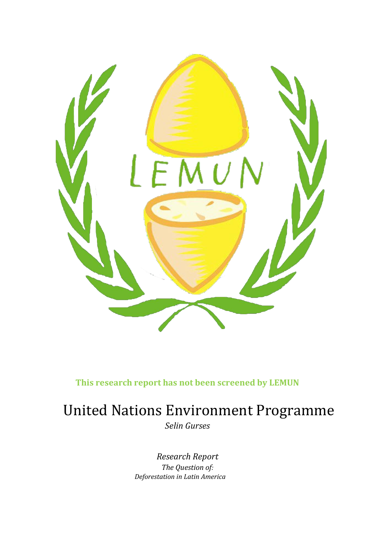

**This research report has not been screened by LEMUN**

# United Nations Environment Programme

*Selin Gurses*

*Research Report The Question of: Deforestation in Latin America*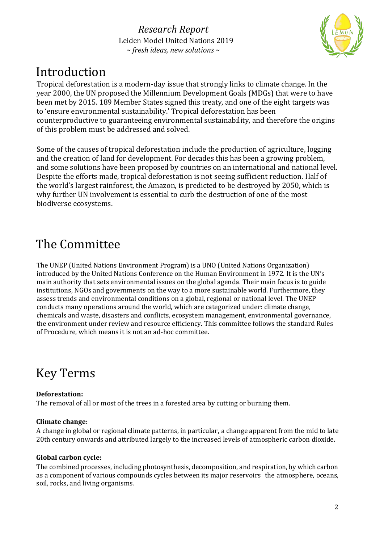

## Introduction

Tropical deforestation is a modern-day issue that strongly links to climate change. In the year 2000, the UN proposed the Millennium Development Goals (MDGs) that were to have been met by 2015. 189 Member States signed this treaty, and one of the eight targets was to 'ensure environmental sustainability.' Tropical deforestation has been counterproductive to guaranteeing environmental sustainability, and therefore the origins of this problem must be addressed and solved.

Some of the causes of tropical deforestation include the production of agriculture, logging and the creation of land for development. For decades this has been a growing problem, and some solutions have been proposed by countries on an international and national level. Despite the efforts made, tropical deforestation is not seeing sufficient reduction. Half of the world's largest rainforest, the Amazon, is predicted to be destroyed by 2050, which is why further UN involvement is essential to curb the destruction of one of the most biodiverse ecosystems.

## The Committee

The UNEP (United Nations Environment Program) is a UNO (United Nations Organization) introduced by the United Nations Conference on the Human Environment in 1972. It is the UN's main authority that sets environmental issues on the global agenda. Their main focus is to guide institutions, NGOs and governments on the way to a more sustainable world. Furthermore, they assess trends and environmental conditions on a global, regional or national level. The UNEP conducts many operations around the world, which are categorized under: climate change, chemicals and waste, disasters and conflicts, ecosystem management, environmental governance, the environment under review and resource efficiency. This committee follows the standard Rules of Procedure, which means it is not an ad-hoc committee.

# Key Terms

### **Deforestation:**

The removal of all or most of the trees in a forested area by cutting or burning them.

### **Climate change:**

A change in global or regional climate patterns, in particular, a change apparent from the mid to late 20th century onwards and attributed largely to the increased levels of atmospheric carbon dioxide.

### **Global carbon cycle:**

The combined processes, including photosynthesis, decomposition, and respiration, by which carbon as a component of various compounds cycles between its major reservoirs the atmosphere, oceans, soil, rocks, and living organisms.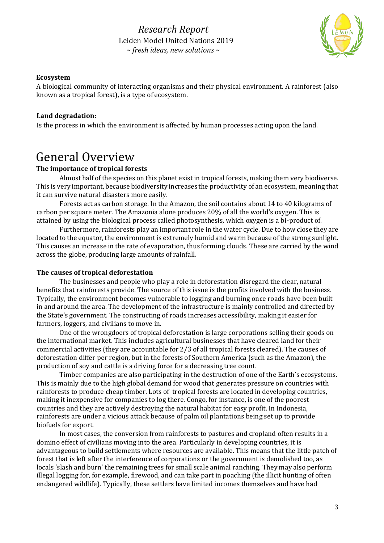

#### **Ecosystem**

A biological community of interacting organisms and their physical environment. A rainforest (also known as a tropical forest), is a type of ecosystem.

#### **Land degradation:**

Is the process in which the environment is affected by human processes acting upon the land.

## General Overview

#### **The importance of tropical forests**

Almost half of the species on this planet exist in tropical forests, making them very biodiverse. This is very important, because biodiversity increases the productivity of an ecosystem, meaning that it can survive natural disasters more easily.

Forests act as carbon storage. In the Amazon, the soil contains about 14 to 40 kilograms of carbon per square meter. The Amazonia alone produces 20% of all the world's oxygen. This is attained by using the biological process called photosynthesis, which oxygen is a bi-product of.

Furthermore, rainforests play an important role in the water cycle. Due to how close they are located to the equator, the environment is extremely humid and warm because of the strong sunlight. This causes an increase in the rate of evaporation, thus forming clouds. These are carried by the wind across the globe, producing large amounts of rainfall.

#### **The causes of tropical deforestation**

The businesses and people who play a role in deforestation disregard the clear, natural benefits that rainforests provide. The source of this issue is the profits involved with the business. Typically, the environment becomes vulnerable to logging and burning once roads have been built in and around the area. The development of the infrastructure is mainly controlled and directed by the State's government. The constructing of roads increases accessibility, making it easier for farmers, loggers, and civilians to move in.

One of the wrongdoers of tropical deforestation is large corporations selling their goods on the international market. This includes agricultural businesses that have cleared land for their commercial activities (they are accountable for 2/3 of all tropical forests cleared). The causes of deforestation differ per region, but in the forests of Southern America (such as the Amazon), the production of soy and cattle is a driving force for a decreasing tree count.

Timber companies are also participating in the destruction of one of the Earth's ecosystems. This is mainly due to the high global demand for wood that generates pressure on countries with rainforests to produce cheap timber. Lots of tropical forests are located in developing countries, making it inexpensive for companies to log there. Congo, for instance, is one of the poorest countries and they are actively destroying the natural habitat for easy profit. In Indonesia, rainforests are under a vicious attack because of palm oil plantations being set up to provide biofuels for export.

In most cases, the conversion from rainforests to pastures and cropland often results in a domino effect of civilians moving into the area. Particularly in developing countries, it is advantageous to build settlements where resources are available. This means that the little patch of forest that is left after the interference of corporations or the government is demolished too, as locals 'slash and burn' the remaining trees for small scale animal ranching. They may also perform illegal logging for, for example, firewood, and can take part in poaching (the illicit hunting of often endangered wildlife). Typically, these settlers have limited incomes themselves and have had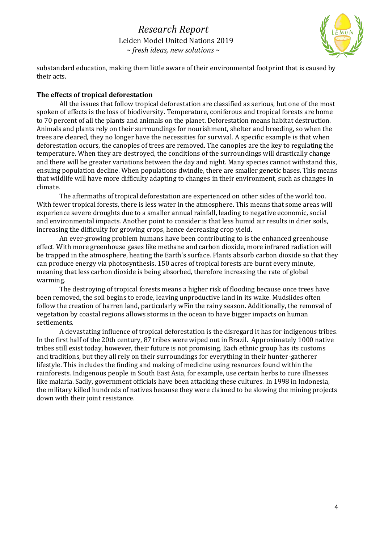

substandard education, making them little aware of their environmental footprint that is caused by their acts.

#### **The effects of tropical deforestation**

All the issues that follow tropical deforestation are classified as serious, but one of the most spoken of effects is the loss of biodiversity. Temperature, coniferous and tropical forests are home to 70 percent of all the plants and animals on the planet. Deforestation means habitat destruction. Animals and plants rely on their surroundings for nourishment, shelter and breeding, so when the trees are cleared, they no longer have the necessities for survival. A specific example is that when deforestation occurs, the canopies of trees are removed. The canopies are the key to regulating the temperature. When they are destroyed, the conditions of the surroundings will drastically change and there will be greater variations between the day and night. Many species cannot withstand this, ensuing population decline. When populations dwindle, there are smaller genetic bases. This means that wildlife will have more difficulty adapting to changes in their environment, such as changes in climate.

The aftermaths of tropical deforestation are experienced on other sides of the world too. With fewer tropical forests, there is less water in the atmosphere. This means that some areas will experience severe droughts due to a smaller annual rainfall, leading to negative economic, social and environmental impacts. Another point to consider is that less humid air results in drier soils, increasing the difficulty for growing crops, hence decreasing crop yield.

An ever-growing problem humans have been contributing to is the enhanced greenhouse effect. With more greenhouse gases like methane and carbon dioxide, more infrared radiation will be trapped in the atmosphere, heating the Earth's surface. Plants absorb carbon dioxide so that they can produce energy via photosynthesis. 150 acres of tropical forests are burnt every minute, meaning that less carbon dioxide is being absorbed, therefore increasing the rate of global warming.

The destroying of tropical forests means a higher risk of flooding because once trees have been removed, the soil begins to erode, leaving unproductive land in its wake. Mudslides often follow the creation of barren land, particularly wFin the rainy season. Additionally, the removal of vegetation by coastal regions allows storms in the ocean to have bigger impacts on human settlements.

A devastating influence of tropical deforestation is the disregard it has for indigenous tribes. In the first half of the 20th century, 87 tribes were wiped out in Brazil. Approximately 1000 native tribes still exist today, however, their future is not promising. Each ethnic group has its customs and traditions, but they all rely on their surroundings for everything in their hunter-gatherer lifestyle. This includes the finding and making of medicine using resources found within the rainforests. Indigenous people in South East Asia, for example, use certain herbs to cure illnesses like malaria. Sadly, government officials have been attacking these cultures. In 1998 in Indonesia, the military killed hundreds of natives because they were claimed to be slowing the mining projects down with their joint resistance.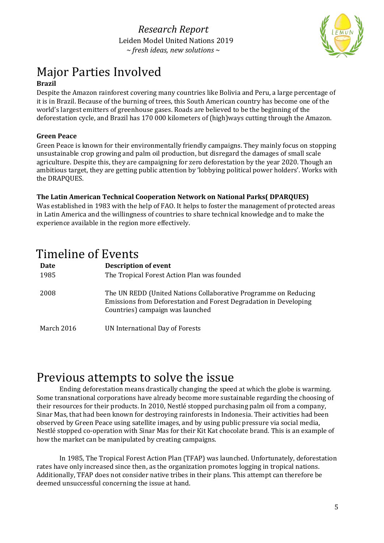

# Major Parties Involved

### **Brazil**

Despite the Amazon rainforest covering many countries like Bolivia and Peru, a large percentage of it is in Brazil. Because of the burning of trees, this South American country has become one of the world's largest emitters of greenhouse gases. Roads are believed to be the beginning of the deforestation cycle, and Brazil has 170 000 kilometers of (high)ways cutting through the Amazon.

### **Green Peace**

Green Peace is known for their environmentally friendly campaigns. They mainly focus on stopping unsustainable crop growing and palm oil production, but disregard the damages of small scale agriculture. Despite this, they are campaigning for zero deforestation by the year 2020. Though an ambitious target, they are getting public attention by 'lobbying political power holders'. Works with the DRAPQUES.

### **The Latin American Technical Cooperation Network on National Parks( DPARQUES)**

Was established in 1983 with the help of FAO. It helps to foster the management of protected areas in Latin America and the willingness of countries to share technical knowledge and to make the experience available in the region more effectively.

## Timeline of Events

| Date<br>1985 | <b>Description of event</b><br>The Tropical Forest Action Plan was founded                                                                                               |
|--------------|--------------------------------------------------------------------------------------------------------------------------------------------------------------------------|
| 2008         | The UN REDD (United Nations Collaborative Programme on Reducing<br>Emissions from Deforestation and Forest Degradation in Developing<br>Countries) campaign was launched |
| March 2016   | UN International Day of Forests                                                                                                                                          |

## Previous attempts to solve the issue

Ending deforestation means drastically changing the speed at which the globe is warming. Some transnational corporations have already become more sustainable regarding the choosing of their resources for their products. In 2010, Nestlé stopped purchasing palm oil from a company, Sinar Mas, that had been known for destroying rainforests in Indonesia. Their activities had been observed by Green Peace using satellite images, and by using public pressure via social media, Nestlé stopped co-operation with Sinar Mas for their Kit Kat chocolate brand. This is an example of how the market can be manipulated by creating campaigns.

In 1985, The Tropical Forest Action Plan (TFAP) was launched. Unfortunately, deforestation rates have only increased since then, as the organization promotes logging in tropical nations. Additionally, TFAP does not consider native tribes in their plans. This attempt can therefore be deemed unsuccessful concerning the issue at hand.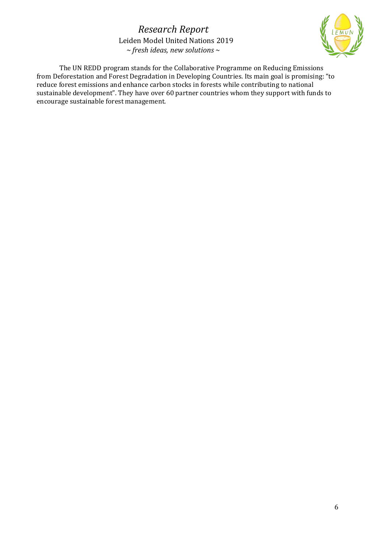

The UN REDD program stands for the Collaborative Programme on Reducing Emissions from Deforestation and Forest Degradation in Developing Countries. Its main goal is promising: "to reduce forest emissions and enhance carbon stocks in forests while contributing to national sustainable development". They have over 60 partner countries whom they support with funds to encourage sustainable forest management.